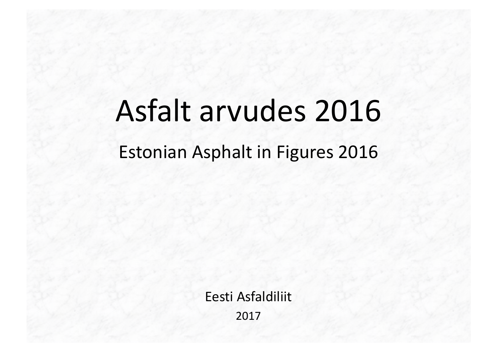# Asfalt arvudes 2016

# Estonian Asphalt in Figures 2016

Eesti Asfaldiliit 2017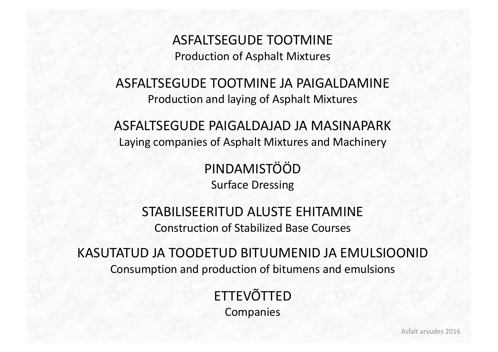ASFALTSEGUDE TOOTMINE Production of Asphalt Mixtures

ASFALTSEGUDE TOOTMINE JA PAIGALDAMINE Production and laying of Asphalt Mixtures

ASFALTSEGUDE PAIGALDAJAD JA MASINAPARK Laying companies of Asphalt Mixtures and Machinery

> PINDAMISTÖÖD Surface Dressing

STABILISEERITUD ALUSTE EHITAMINE Construction of Stabilized Base Courses

KASUTATUD JA TOODETUD BITUUMENID JA EMULSIOONID Consumption and production of bitumens and emulsions

> ETTEVÕTTED **Companies**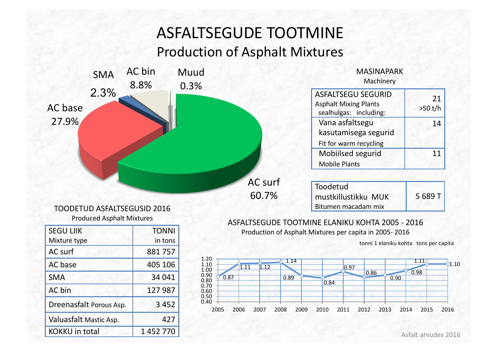## ASFALTSEGUDE TOOTMINE Production of Asphalt Mixtures



KOKKU in total  $1452770$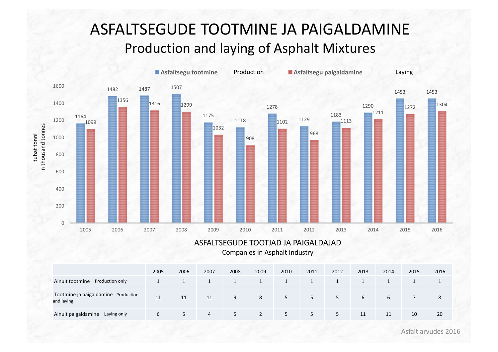### ASFALTSEGUDE TOOTMINE JA PAIGALDAMINE Production and laying of Asphalt Mixtures



#### ASFALTSEGUDE TOOTJAD JA PAIGALDAJAD Companies in Asphalt Industry

|                                                   | 2005 | 2006 | 2007 | 2008 | 2009           | 2010 | 2011 | 2012 | 2013 | 2014 | 2015 | 2016 |
|---------------------------------------------------|------|------|------|------|----------------|------|------|------|------|------|------|------|
| Ainult tootmine<br>Production only                |      |      |      |      |                |      |      |      |      |      |      |      |
| Tootmine ja paigaldamine Production<br>and laying | 11   | 11   | 11   | 9    | 8              | 5    | 5    | 5.   | 6    | b    |      | 8    |
| Ainult paigaldamine<br>Laying only                | b    | 5    | 4    | 5    | $\overline{2}$ | 5    | 5    | 5.   | 11   | 11   | 10   | 20   |

Asfalt arvudes 2016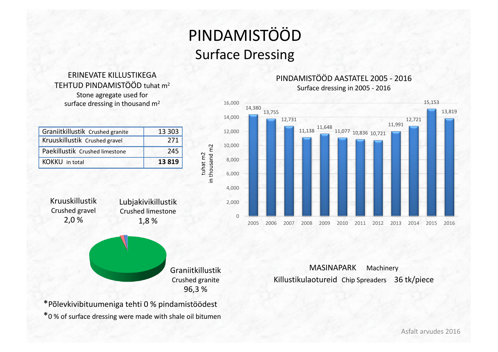# PINDAMISTÖÖD **Surface Dressing**

in thousand m2 tuhat m2

#### ERINEVATE KILLUSTIKEGA TEHTUD PINDAMISTÖÖD tuhat m<sup>2</sup> Stone agregate used for surface dressing in thousand  $m<sup>2</sup>$

| Graniitkillustik Crushed granite | 13 303  |
|----------------------------------|---------|
| Kruuskillustik Crushed gravel    | 271     |
| Paekillustik Crushed limestone   | 245     |
| <b>KOKKU</b> in total            | 13 8 19 |

Kruuskillustik Crushed gravel 2,0 %

Lubjakivikillustik Crushed limestone 1,8 %



\*Põlevkivibituumeniga tehti 0 % pindamistöödest \*0 % of surface dressing were made with shale oil bitumen

#### PINDAMISTÖÖD AASTATEL 2005 - 2016 Surface dressing in 2005 - 2016



MASINAPARK Machinery Killustikulaotureid Chip Spreaders 36 tk/piece